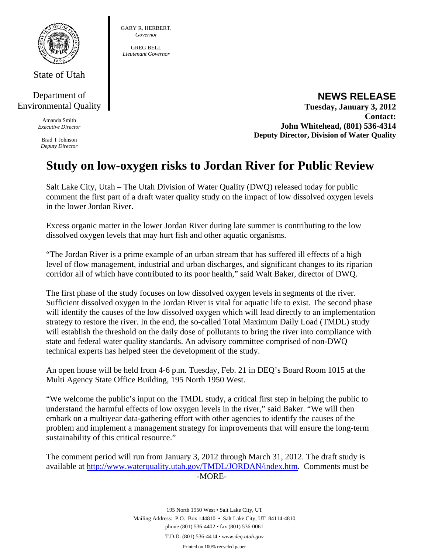

State of Utah

## Department of Environmental Quality

Amanda Smith *Executive Director* 

Brad T Johnson *Deputy Director* 

## GARY R. HERBERT. *Governor*

GREG BELL *Lieutenant Governor* 

> **NEWS RELEASE Tuesday, January 3, 2012 Contact: John Whitehead, (801) 536-4314 Deputy Director, Division of Water Quality**

## **Study on low-oxygen risks to Jordan River for Public Review**

Salt Lake City, Utah – The Utah Division of Water Quality (DWQ) released today for public comment the first part of a draft water quality study on the impact of low dissolved oxygen levels in the lower Jordan River.

Excess organic matter in the lower Jordan River during late summer is contributing to the low dissolved oxygen levels that may hurt fish and other aquatic organisms.

"The Jordan River is a prime example of an urban stream that has suffered ill effects of a high level of flow management, industrial and urban discharges, and significant changes to its riparian corridor all of which have contributed to its poor health," said Walt Baker, director of DWQ.

The first phase of the study focuses on low dissolved oxygen levels in segments of the river. Sufficient dissolved oxygen in the Jordan River is vital for aquatic life to exist. The second phase will identify the causes of the low dissolved oxygen which will lead directly to an implementation strategy to restore the river. In the end, the so-called Total Maximum Daily Load (TMDL) study will establish the threshold on the daily dose of pollutants to bring the river into compliance with state and federal water quality standards. An advisory committee comprised of non-DWQ technical experts has helped steer the development of the study.

An open house will be held from 4-6 p.m. Tuesday, Feb. 21 in DEQ's Board Room 1015 at the Multi Agency State Office Building, 195 North 1950 West.

"We welcome the public's input on the TMDL study, a critical first step in helping the public to understand the harmful effects of low oxygen levels in the river," said Baker. "We will then embark on a multiyear data-gathering effort with other agencies to identify the causes of the problem and implement a management strategy for improvements that will ensure the long-term sustainability of this critical resource."

The comment period will run from January 3, 2012 through March 31, 2012. The draft study is available at http://www.waterquality.utah.gov/TMDL/JORDAN/index.htm. Comments must be -MORE-

> 195 North 1950 West • Salt Lake City, UT Mailing Address: P.O. Box 144810 • Salt Lake City, UT 84114-4810 phone (801) 536-4402 • fax (801) 536-0061 T.D.D. (801) 536-4414 • *www.deq.utah.gov*  Printed on 100% recycled paper